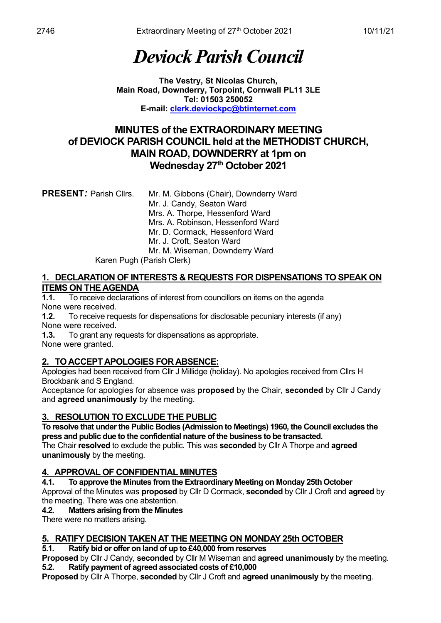# *Deviock Parish Council*

**The Vestry, St Nicolas Church, Main Road, Downderry, Torpoint, Cornwall PL11 3LE Tel: 01503 250052 E-mail: [clerk.deviockpc@btinternet.com](mailto:clerk.deviockpc@btinternet.com)**

## **MINUTES of the EXTRAORDINARY MEETING of DEVIOCK PARISH COUNCIL held at the METHODIST CHURCH, MAIN ROAD, DOWNDERRY at 1pm on Wednesday 27th October 2021**

| <b>PRESENT: Parish Cllrs.</b> | Mr. M. Gibbons (Chair), Downderry Ward |
|-------------------------------|----------------------------------------|
|                               | Mr. J. Candy, Seaton Ward              |
|                               | Mrs. A. Thorpe, Hessenford Ward        |
|                               | Mrs. A. Robinson, Hessenford Ward      |
|                               | Mr. D. Cormack, Hessenford Ward        |
|                               | Mr. J. Croft, Seaton Ward              |
|                               | Mr. M. Wiseman, Downderry Ward         |
| Karen Pugh (Parish Clerk)     |                                        |

#### **1. DECLARATION OF INTERESTS & REQUESTS FOR DISPENSATIONS TO SPEAK ON ITEMS ON THE AGENDA**

**1.1.** To receive declarations of interest from councillors on items on the agenda None were received.

**1.2.** To receive requests for dispensations for disclosable pecuniary interests (if any) None were received.

**1.3.** To grant any requests for dispensations as appropriate.

None were granted.

## **2. TO ACCEPT APOLOGIES FOR ABSENCE:**

Apologies had been received from Cllr J Millidge (holiday). No apologies received from Cllrs H Brockbank and S England.

Acceptance for apologies for absence was **proposed** by the Chair, **seconded** by Cllr J Candy and **agreed unanimously** by the meeting.

## **3. RESOLUTION TO EXCLUDE THE PUBLIC**

**To resolve that under the Public Bodies (Admission to Meetings) 1960, the Council excludes the press and public due to the confidential nature of the business to be transacted.**

The Chair **resolved** to exclude the public. This was **seconded** by Cllr A Thorpe and **agreed unanimously** by the meeting.

## **4. APPROVAL OF CONFIDENTIAL MINUTES**

**4.1. To approve the Minutes from the Extraordinary Meeting on Monday 25th October**

Approval of the Minutes was **proposed** by Cllr D Cormack, **seconded** by Cllr J Croft and **agreed** by the meeting. There was one abstention.

### **4.2. Matters arising from the Minutes**

There were no matters arising.

### **5. RATIFY DECISION TAKEN AT THE MEETING ON MONDAY 25th OCTOBER**

**5.1. Ratify bid or offer on land of up to £40,000 from reserves**

**Proposed** by Cllr J Candy, **seconded** by Cllr M Wiseman and **agreed unanimously** by the meeting. **5.2. Ratify payment of agreed associated costs of £10,000**

**Proposed** by Cllr A Thorpe, **seconded** by Cllr J Croft and **agreed unanimously** by the meeting.